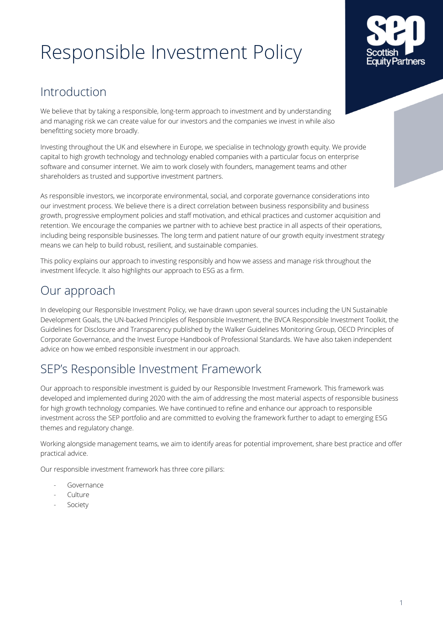# Responsible Investment Policy



## Introduction

We believe that by taking a responsible, long-term approach to investment and by understanding and managing risk we can create value for our investors and the companies we invest in while also benefitting society more broadly.

Investing throughout the UK and elsewhere in Europe, we specialise in technology growth equity. We provide capital to high growth technology and technology enabled companies with a particular focus on enterprise software and consumer internet. We aim to work closely with founders, management teams and other shareholders as trusted and supportive investment partners.

As responsible investors, we incorporate environmental, social, and corporate governance considerations into our investment process. We believe there is a direct correlation between business responsibility and business growth, progressive employment policies and staff motivation, and ethical practices and customer acquisition and retention. We encourage the companies we partner with to achieve best practice in all aspects of their operations, including being responsible businesses. The long term and patient nature of our growth equity investment strategy means we can help to build robust, resilient, and sustainable companies.

This policy explains our approach to investing responsibly and how we assess and manage risk throughout the investment lifecycle. It also highlights our approach to ESG as a firm.

## Our approach

In developing our Responsible Investment Policy, we have drawn upon several sources including the UN Sustainable Development Goals, the UN-backed Principles of Responsible Investment, the BVCA Responsible Investment Toolkit, the Guidelines for Disclosure and Transparency published by the Walker Guidelines Monitoring Group, OECD Principles of Corporate Governance, and the Invest Europe Handbook of Professional Standards. We have also taken independent advice on how we embed responsible investment in our approach.

# SEP's Responsible Investment Framework

Our approach to responsible investment is guided by our Responsible Investment Framework. This framework was developed and implemented during 2020 with the aim of addressing the most material aspects of responsible business for high growth technology companies. We have continued to refine and enhance our approach to responsible investment across the SEP portfolio and are committed to evolving the framework further to adapt to emerging ESG themes and regulatory change.

Working alongside management teams, we aim to identify areas for potential improvement, share best practice and offer practical advice.

Our responsible investment framework has three core pillars:

- **Governance**
- Culture
- Society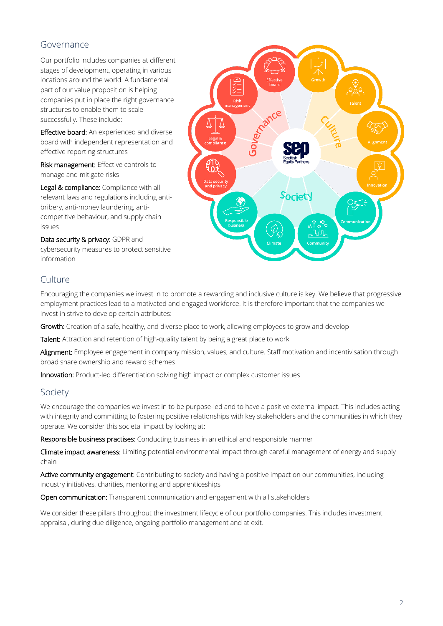### Governance

Our portfolio includes companies at different stages of development, operating in various locations around the world. A fundamental part of our value proposition is helping companies put in place the right governance structures to enable them to scale successfully. These include:

Effective board: An experienced and diverse board with independent representation and effective reporting structures

Risk management: Effective controls to manage and mitigate risks

Legal & compliance: Compliance with all relevant laws and regulations including antibribery, anti-money laundering, anticompetitive behaviour, and supply chain issues

Data security & privacy: GDPR and cybersecurity measures to protect sensitive information



## Culture

Encouraging the companies we invest in to promote a rewarding and inclusive culture is key. We believe that progressive employment practices lead to a motivated and engaged workforce. It is therefore important that the companies we invest in strive to develop certain attributes:

Growth: Creation of a safe, healthy, and diverse place to work, allowing employees to grow and develop

Talent: Attraction and retention of high-quality talent by being a great place to work

Alignment: Employee engagement in company mission, values, and culture. Staff motivation and incentivisation through broad share ownership and reward schemes

Innovation: Product-led differentiation solving high impact or complex customer issues

#### Society

We encourage the companies we invest in to be purpose-led and to have a positive external impact. This includes acting with integrity and committing to fostering positive relationships with key stakeholders and the communities in which they operate. We consider this societal impact by looking at:

Responsible business practises: Conducting business in an ethical and responsible manner

Climate impact awareness: Limiting potential environmental impact through careful management of energy and supply chain

Active community engagement: Contributing to society and having a positive impact on our communities, including industry initiatives, charities, mentoring and apprenticeships

Open communication: Transparent communication and engagement with all stakeholders

We consider these pillars throughout the investment lifecycle of our portfolio companies. This includes investment appraisal, during due diligence, ongoing portfolio management and at exit.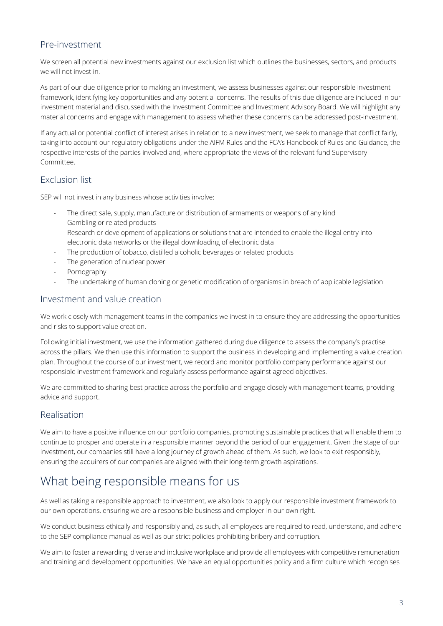#### Pre-investment

We screen all potential new investments against our exclusion list which outlines the businesses, sectors, and products we will not invest in.

As part of our due diligence prior to making an investment, we assess businesses against our responsible investment framework, identifying key opportunities and any potential concerns. The results of this due diligence are included in our investment material and discussed with the Investment Committee and Investment Advisory Board. We will highlight any material concerns and engage with management to assess whether these concerns can be addressed post-investment.

If any actual or potential conflict of interest arises in relation to a new investment, we seek to manage that conflict fairly, taking into account our regulatory obligations under the AIFM Rules and the FCA's Handbook of Rules and Guidance, the respective interests of the parties involved and, where appropriate the views of the relevant fund Supervisory Committee.

#### Exclusion list

SEP will not invest in any business whose activities involve:

- The direct sale, supply, manufacture or distribution of armaments or weapons of any kind
- Gambling or related products
- Research or development of applications or solutions that are intended to enable the illegal entry into electronic data networks or the illegal downloading of electronic data
- The production of tobacco, distilled alcoholic beverages or related products
- The generation of nuclear power
- Pornography
- The undertaking of human cloning or genetic modification of organisms in breach of applicable legislation

#### Investment and value creation

We work closely with management teams in the companies we invest in to ensure they are addressing the opportunities and risks to support value creation.

Following initial investment, we use the information gathered during due diligence to assess the company's practise across the pillars. We then use this information to support the business in developing and implementing a value creation plan. Throughout the course of our investment, we record and monitor portfolio company performance against our responsible investment framework and regularly assess performance against agreed objectives.

We are committed to sharing best practice across the portfolio and engage closely with management teams, providing advice and support.

#### Realisation

We aim to have a positive influence on our portfolio companies, promoting sustainable practices that will enable them to continue to prosper and operate in a responsible manner beyond the period of our engagement. Given the stage of our investment, our companies still have a long journey of growth ahead of them. As such, we look to exit responsibly, ensuring the acquirers of our companies are aligned with their long-term growth aspirations.

## What being responsible means for us

As well as taking a responsible approach to investment, we also look to apply our responsible investment framework to our own operations, ensuring we are a responsible business and employer in our own right.

We conduct business ethically and responsibly and, as such, all employees are required to read, understand, and adhere to the SEP compliance manual as well as our strict policies prohibiting bribery and corruption.

We aim to foster a rewarding, diverse and inclusive workplace and provide all employees with competitive remuneration and training and development opportunities. We have an equal opportunities policy and a firm culture which recognises